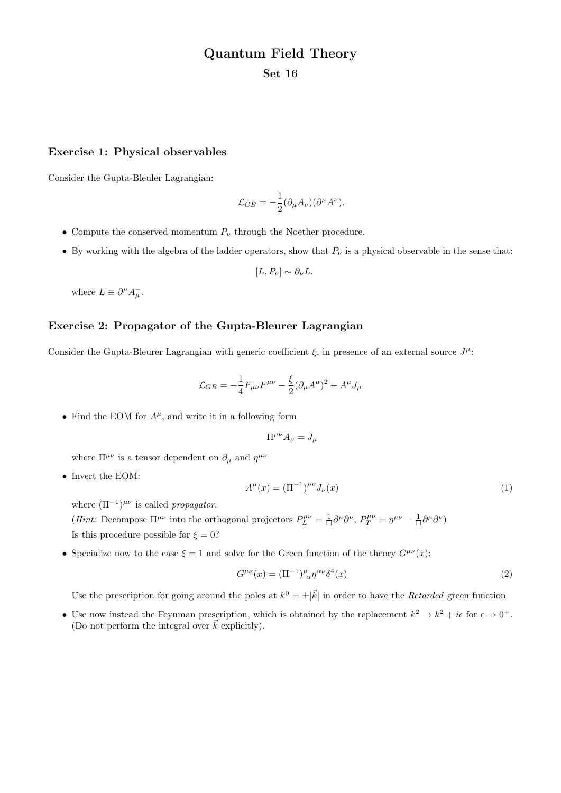# Quantum Field Theory

Set 16

#### Exercise 1: Physical observables

Consider the Gupta-Bleuler Lagrangian:

$$
\mathcal{L}_{GB} = -\frac{1}{2} (\partial_{\mu} A_{\nu}) (\partial^{\mu} A^{\nu}).
$$

- Compute the conserved momentum  $P_{\nu}$  through the Noether procedure.
- By working with the algebra of the ladder operators, show that  $P_{\nu}$  is a physical observable in the sense that:

$$
[L, P_{\nu}] \sim \partial_{\nu} L.
$$

where  $L \equiv \partial^{\mu} A_{\mu}^{-}$ .

### Exercise 2: Propagator of the Gupta-Bleurer Lagrangian

Consider the Gupta-Bleurer Lagrangian with generic coefficient  $\xi$ , in presence of an external source  $J^{\mu}$ :

$$
\mathcal{L}_{GB} = -\frac{1}{4} F_{\mu\nu} F^{\mu\nu} - \frac{\xi}{2} (\partial_{\mu} A^{\mu})^2 + A^{\mu} J_{\mu}
$$

• Find the EOM for  $A^{\mu}$ , and write it in a following form

$$
\Pi^{\mu\nu} A_{\nu} = J_{\mu}
$$

where  $\Pi^{\mu\nu}$  is a tensor dependent on  $\partial_{\mu}$  and  $\eta^{\mu\nu}$ 

• Invert the EOM:

$$
A^{\mu}(x) = (\Pi^{-1})^{\mu\nu} J_{\nu}(x)
$$
 (1)

where  $(\Pi^{-1})^{\mu\nu}$  is called *propagator*.

(*Hint*: Decompose  $\Pi^{\mu\nu}$  into the orthogonal projectors  $P_L^{\mu\nu} = \frac{1}{\Box} \partial^{\mu} \partial^{\nu}$ ,  $P_T^{\mu\nu} = \eta^{\mu\nu} - \frac{1}{\Box} \partial^{\mu} \partial^{\nu}$ ) Is this procedure possible for  $\xi = 0$ ?

• Specialize now to the case  $\xi = 1$  and solve for the Green function of the theory  $G^{\mu\nu}(x)$ :

$$
G^{\mu\nu}(x) = (\Pi^{-1})^{\mu}_{\ \alpha} \eta^{\alpha\nu} \delta^4(x) \tag{2}
$$

Use the prescription for going around the poles at  $k^0 = \pm |\vec{k}|$  in order to have the *Retarded* green function

• Use now instead the Feynman prescription, which is obtained by the replacement  $k^2 \to k^2 + i\epsilon$  for  $\epsilon \to 0^+$ . (Do not perform the integral over  $k$  explicitly).